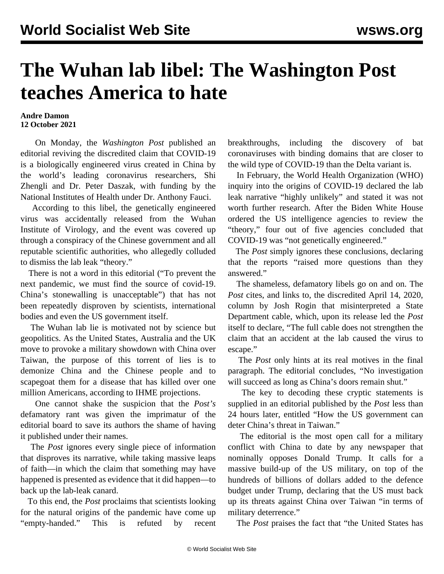## **The Wuhan lab libel: The Washington Post teaches America to hate**

## **Andre Damon 12 October 2021**

 On Monday, the *Washington Post* published an editorial reviving the discredited claim that COVID-19 is a biologically engineered virus created in China by the world's leading coronavirus researchers, Shi Zhengli and Dr. Peter Daszak, with funding by the National Institutes of Health under Dr. Anthony Fauci.

 According to this libel, the genetically engineered virus was accidentally released from the Wuhan Institute of Virology, and the event was covered up through a conspiracy of the Chinese government and all reputable scientific authorities, who allegedly colluded to dismiss the lab leak "theory."

 There is not a word in this editorial ("To prevent the next pandemic, we must find the source of covid-19. China's stonewalling is unacceptable") that has not been repeatedly disproven by [scientists](/en/articles/2021/07/09/pers-j09.html), [international](/en/articles/2021/03/31/pers-m31.html) [bodies](/en/articles/2021/03/31/pers-m31.html) and even the [US government](/en/articles/2021/08/26/pers-a26.html) itself.

 The Wuhan lab lie is motivated not by science but geopolitics. As the United States, Australia and the UK move to provoke a military showdown with China over Taiwan, the purpose of this torrent of lies is to demonize China and the Chinese people and to scapegoat them for a disease that has killed over one million Americans, according to [IHME projections.](/en/articles/2021/05/07/ihme-m07.html)

 One cannot shake the suspicion that the *Post's* defamatory rant was given the imprimatur of the editorial board to save its authors the shame of having it published under their names.

 The *Post* ignores every single piece of information that disproves its narrative, while taking massive leaps of faith—in which the claim that something may have happened is presented as evidence that it did happen—to back up the lab-leak canard.

 To this end, the *Post* proclaims that scientists looking for the natural origins of the pandemic have come up "empty-handed." This is refuted by recent [breakthroughs](/en/articles/2021/09/23/wuha-s23.html), including the discovery of bat coronaviruses with binding domains that are closer to the wild type of COVID-19 than the Delta variant is.

 In February, the World Health Organization (WHO) inquiry into the origins of COVID-19 declared the lab leak narrative "highly unlikely" and stated it was not worth further research. After the Biden White House ordered the US intelligence agencies to review the "theory," four out of five agencies concluded that COVID-19 was "not genetically engineered."

 The *Post* simply ignores these conclusions, declaring that the reports "raised more questions than they answered."

 The shameless, defamatory libels go on and on. The *Post* cites, and links to, the discredited April 14, 2020, column by Josh Rogin that misinterpreted a State Department cable, which, upon its release led the *Post* itself to declare, "The full cable does not strengthen the claim that an accident at the lab caused the virus to escape."

 The *Post* only hints at its real motives in the final paragraph. The editorial concludes, "No investigation will succeed as long as China's doors remain shut."

 The key to decoding these cryptic statements is supplied in an editorial published by the *Post* less than 24 hours later, entitled "How the US government can deter China's threat in Taiwan."

 The editorial is the most open call for a military conflict with China to date by any newspaper that nominally opposes Donald Trump. It calls for a massive build-up of the US military, on top of the hundreds of billions of dollars added to the defence budget under Trump, declaring that the US must back up its threats against China over Taiwan "in terms of military deterrence."

The *Post* praises the fact that "the United States has